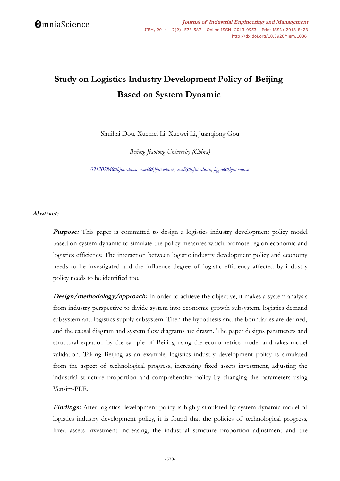# **Study on Logistics Industry Development Policy of Beijing Based on System Dynamic**

Shuihai Dou, Xuemei Li, Xuewei Li, Juanqiong Gou

*Beijing Jiaotong University (China)*

*[09120784@bjtu.edu.cn,](mailto:09120784@bjtu.edu.cn) [xmli@bjtu.edu.cn,](mailto:xmli@bjtu.edu.cn) [xwli@bjtu.edu.cn,](mailto:xwli@bjtu.edu.cn) [j qgou@bjtu.edu.cn](mailto:jqgou@bjtu.edu.cn)*

## **Abstract:**

**Purpose:** This paper is committed to design a logistics industry development policy model based on system dynamic to simulate the policy measures which promote region economic and logistics efficiency. The interaction between logistic industry development policy and economy needs to be investigated and the influence degree of logistic efficiency affected by industry policy needs to be identified too.

**Design/methodology/approach:** In order to achieve the objective, it makes a system analysis from industry perspective to divide system into economic growth subsystem, logistics demand subsystem and logistics supply subsystem. Then the hypothesis and the boundaries are defined, and the causal diagram and system flow diagrams are drawn. The paper designs parameters and structural equation by the sample of Beijing using the econometrics model and takes model validation. Taking Beijing as an example, logistics industry development policy is simulated from the aspect of technological progress, increasing fixed assets investment, adjusting the industrial structure proportion and comprehensive policy by changing the parameters using Vensim-PLE.

**Findings:** After logistics development policy is highly simulated by system dynamic model of logistics industry development policy, it is found that the policies of technological progress, fixed assets investment increasing, the industrial structure proportion adjustment and the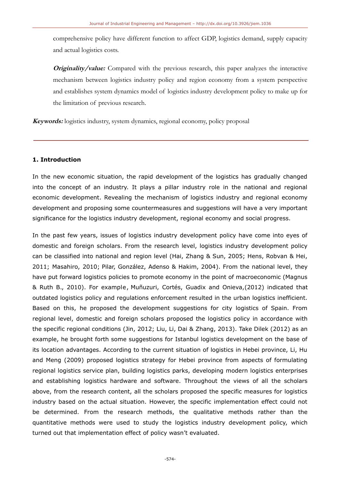comprehensive policy have different function to affect GDP, logistics demand, supply capacity and actual logistics costs.

**Originality/value:** Compared with the previous research, this paper analyzes the interactive mechanism between logistics industry policy and region economy from a system perspective and establishes system dynamics model of logistics industry development policy to make up for the limitation of previous research.

**Keywords:** logistics industry, system dynamics, regional economy, policy proposal

## **1. Introduction**

In the new economic situation, the rapid development of the logistics has gradually changed into the concept of an industry. It plays a pillar industry role in the national and regional economic development. Revealing the mechanism of logistics industry and regional economy development and proposing some countermeasures and suggestions will have a very important significance for the logistics industry development, regional economy and social progress.

In the past few years, issues of logistics industry development policy have come into eyes of domestic and foreign scholars. From the research level, logistics industry development policy can be classified into national and region level (Hai, Zhang & Sun, 2005; Hens, Robvan & Hei, 2011; Masahiro, 2010; Pilar, González, Adenso & Hakim, 2004). From the national level, they have put forward logistics policies to promote economy in the point of macroeconomic (Magnus & Ruth B., 2010). For example , Muñuzuri, Cortés, Guadix and Onieva,(2012) indicated that outdated logistics policy and regulations enforcement resulted in the urban logistics inefficient. Based on this, he proposed the development suggestions for city logistics of Spain. From regional level, domestic and foreign scholars proposed the logistics policy in accordance with the specific regional conditions (Jin, 2012; Liu, Li, Dai & Zhang, 2013). Take Dilek (2012) as an example, he brought forth some suggestions for Istanbul logistics development on the base of its location advantages. According to the current situation of logistics in Hebei province, Li, Hu and Meng (2009) proposed logistics strategy for Hebei province from aspects of formulating regional logistics service plan, building logistics parks, developing modern logistics enterprises and establishing logistics hardware and software. Throughout the views of all the scholars above, from the research content, all the scholars proposed the specific measures for logistics industry based on the actual situation. However, the specific implementation effect could not be determined. From the research methods, the qualitative methods rather than the quantitative methods were used to study the logistics industry development policy, which turned out that implementation effect of policy wasn't evaluated.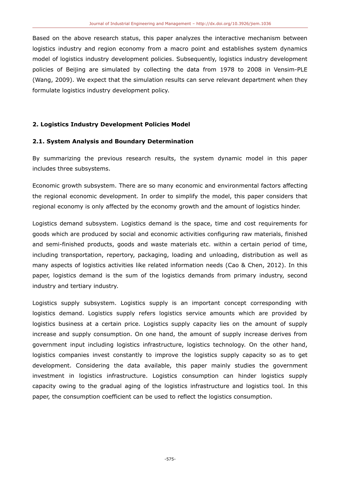Based on the above research status, this paper analyzes the interactive mechanism between logistics industry and region economy from a macro point and establishes system dynamics model of logistics industry development policies. Subsequently, logistics industry development policies of Beijing are simulated by collecting the data from 1978 to 2008 in Vensim-PLE (Wang, 2009). We expect that the simulation results can serve relevant department when they formulate logistics industry development policy.

## **2. Logistics Industry Development Policies Model**

## **2.1. System Analysis and Boundary Determination**

By summarizing the previous research results, the system dynamic model in this paper includes three subsystems.

Economic growth subsystem. There are so many economic and environmental factors affecting the regional economic development. In order to simplify the model, this paper considers that regional economy is only affected by the economy growth and the amount of logistics hinder.

Logistics demand subsystem. Logistics demand is the space, time and cost requirements for goods which are produced by social and economic activities configuring raw materials, finished and semi-finished products, goods and waste materials etc. within a certain period of time, including transportation, repertory, packaging, loading and unloading, distribution as well as many aspects of logistics activities like related information needs (Cao & Chen, 2012). In this paper, logistics demand is the sum of the logistics demands from primary industry, second industry and tertiary industry.

Logistics supply subsystem. Logistics supply is an important concept corresponding with logistics demand. Logistics supply refers logistics service amounts which are provided by logistics business at a certain price. Logistics supply capacity lies on the amount of supply increase and supply consumption. On one hand, the amount of supply increase derives from government input including logistics infrastructure, logistics technology. On the other hand, logistics companies invest constantly to improve the logistics supply capacity so as to get development. Considering the data available, this paper mainly studies the government investment in logistics infrastructure. Logistics consumption can hinder logistics supply capacity owing to the gradual aging of the logistics infrastructure and logistics tool. In this paper, the consumption coefficient can be used to reflect the logistics consumption.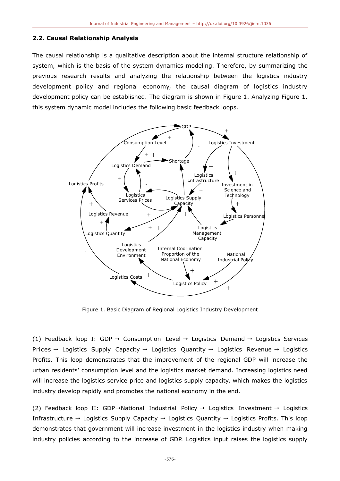#### **2.2. Causal Relationship Analysis**

The causal relationship is a qualitative description about the internal structure relationship of system, which is the basis of the system dynamics modeling. Therefore, by summarizing the previous research results and analyzing the relationship between the logistics industry development policy and regional economy, the causal diagram of logistics industry development policy can be established. The diagram is shown in Figure 1. Analyzing Figure 1, this system dynamic model includes the following basic feedback loops.



Figure 1. Basic Diagram of Regional Logistics Industry Development

(1) Feedback loop I: GDP  $\rightarrow$  Consumption Level  $\rightarrow$  Logistics Demand  $\rightarrow$  Logistics Services Prices → Logistics Supply Capacity → Logistics Quantity → Logistics Revenue → Logistics Profits. This loop demonstrates that the improvement of the regional GDP will increase the urban residents' consumption level and the logistics market demand. Increasing logistics need will increase the logistics service price and logistics supply capacity, which makes the logistics industry develop rapidly and promotes the national economy in the end.

(2) Feedback loop II: GDP→National Industrial Policy → Logistics Investment → Logistics Infrastructure  $\rightarrow$  Logistics Supply Capacity  $\rightarrow$  Logistics Quantity  $\rightarrow$  Logistics Profits. This loop demonstrates that government will increase investment in the logistics industry when making industry policies according to the increase of GDP. Logistics input raises the logistics supply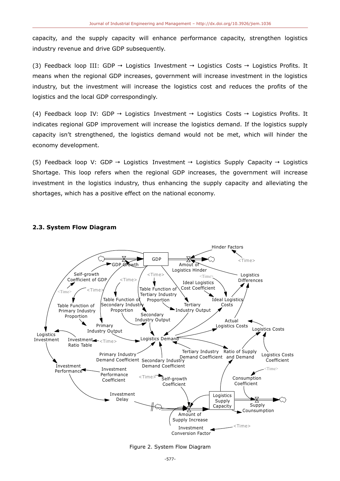capacity, and the supply capacity will enhance performance capacity, strengthen logistics industry revenue and drive GDP subsequently.

(3) Feedback loop III: GDP  $\rightarrow$  Logistics Investment  $\rightarrow$  Logistics Costs  $\rightarrow$  Logistics Profits. It means when the regional GDP increases, government will increase investment in the logistics industry, but the investment will increase the logistics cost and reduces the profits of the logistics and the local GDP correspondingly.

(4) Feedback loop IV: GDP  $\rightarrow$  Logistics Investment  $\rightarrow$  Logistics Costs  $\rightarrow$  Logistics Profits. It indicates regional GDP improvement will increase the logistics demand. If the logistics supply capacity isn't strengthened, the logistics demand would not be met, which will hinder the economy development.

(5) Feedback loop V: GDP → Logistics Investment → Logistics Supply Capacity → Logistics Shortage. This loop refers when the regional GDP increases, the government will increase investment in the logistics industry, thus enhancing the supply capacity and alleviating the shortages, which has a positive effect on the national economy.

## **2.3. System Flow Diagram**



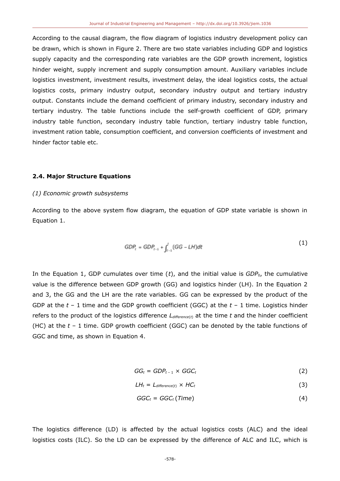According to the causal diagram, the flow diagram of logistics industry development policy can be drawn, which is shown in Figure 2. There are two state variables including GDP and logistics supply capacity and the corresponding rate variables are the GDP growth increment, logistics hinder weight, supply increment and supply consumption amount. Auxiliary variables include logistics investment, investment results, investment delay, the ideal logistics costs, the actual logistics costs, primary industry output, secondary industry output and tertiary industry output. Constants include the demand coefficient of primary industry, secondary industry and tertiary industry. The table functions include the self-growth coefficient of GDP, primary industry table function, secondary industry table function, tertiary industry table function, investment ration table, consumption coefficient, and conversion coefficients of investment and hinder factor table etc.

#### **2.4. Major Structure Equations**

#### *(1) Economic growth subsystems*

According to the above system flow diagram, the equation of GDP state variable is shown in Equation 1.

$$
GDP_t = GDP_{t-1} + \int_{t-1}^t (GG - LH)d\tau \tag{1}
$$

In the Equation 1, GDP cumulates over time  $(t)$ , and the initial value is  $GDP<sub>0</sub>$ , the cumulative value is the difference between GDP growth (GG) and logistics hinder (LH). In the Equation 2 and 3, the GG and the LH are the rate variables. GG can be expressed by the product of the GDP at the *t* – 1 time and the GDP growth coefficient (GGC) at the *t* – 1 time. Logistics hinder refers to the product of the logistics difference *Ldifference*(*t*) at the time *t* and the hinder coefficient (HC) at the *t* – 1 time. GDP growth coefficient (GGC) can be denoted by the table functions of GGC and time, as shown in Equation 4.

$$
GG_t = GDP_{t-1} \times GGC_t \tag{2}
$$

$$
LH_t = L_{difference(t)} \times HC_t \tag{3}
$$

$$
GGC_t = GGC_t(Time) \tag{4}
$$

The logistics difference (LD) is affected by the actual logistics costs (ALC) and the ideal logistics costs (ILC). So the LD can be expressed by the difference of ALC and ILC, which is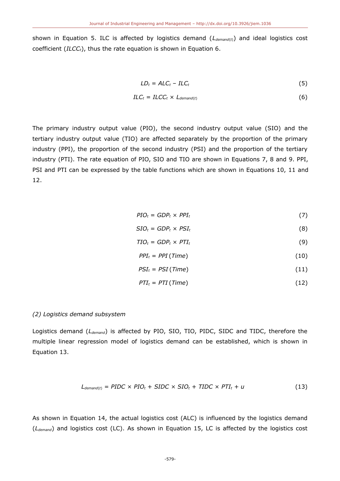shown in Equation 5. ILC is affected by logistics demand (*Ldemand*(*t*)) and ideal logistics cost coefficient (*ILCCt*), thus the rate equation is shown in Equation 6.

$$
LD_t = ALC_t - ILC_t \tag{5}
$$

$$
ILC_t = I LCC_t \times L_{demand(t)}
$$
 (6)

The primary industry output value (PIO), the second industry output value (SIO) and the tertiary industry output value (TIO) are affected separately by the proportion of the primary industry (PPI), the proportion of the second industry (PSI) and the proportion of the tertiary industry (PTI). The rate equation of PIO, SIO and TIO are shown in Equations 7, 8 and 9. PPI, PSI and PTI can be expressed by the table functions which are shown in Equations 10, 11 and 12.

$$
PIO_t = GDP_t \times PPI_t \tag{7}
$$

$$
SIO_t = GDP_t \times PSI_t \tag{8}
$$

$$
TIO_t = GDP_t \times PTI_t \tag{9}
$$

$$
PPI_t = PPI (Time)
$$
 (10)

$$
PSI_t = PSI (Time) \tag{11}
$$

$$
PTI_t = PTI(Time) \tag{12}
$$

#### *(2) Logistics demand subsystem*

Logistics demand (*Ldemand*) is affected by PIO, SIO, TIO, PIDC, SIDC and TIDC, therefore the multiple linear regression model of logistics demand can be established, which is shown in Equation 13.

$$
L_{demand(t)} = PIDC \times PID_t + SIDC \times SID_t + TIDC \times PTI_t + u
$$
\n(13)

As shown in Equation 14, the actual logistics cost (ALC) is influenced by the logistics demand (*Ldemand*) and logistics cost (LC). As shown in Equation 15, LC is affected by the logistics cost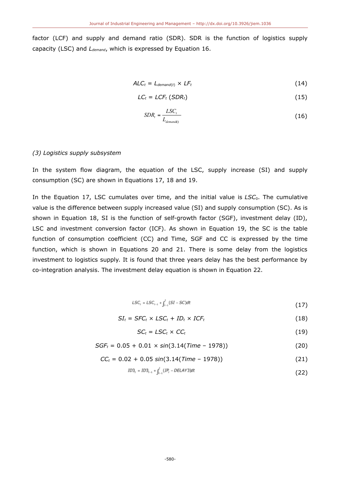factor (LCF) and supply and demand ratio (SDR). SDR is the function of logistics supply capacity (LSC) and *Ldemand*, which is expressed by Equation 16.

$$
ALC_t = L_{demand(t)} \times LF_t
$$
 (14)

$$
LC_t = LCF_t (SDR_t) \tag{15}
$$

$$
SDR_t = \frac{LSC_t}{L_{demand(t)}}
$$
(16)

#### *(3) Logistics supply subsystem*

In the system flow diagram, the equation of the LSC, supply increase (SI) and supply consumption (SC) are shown in Equations 17, 18 and 19.

In the Equation 17, LSC cumulates over time, and the initial value is LSC<sub>0</sub>. The cumulative value is the difference between supply increased value (SI) and supply consumption (SC). As is shown in Equation 18, SI is the function of self-growth factor (SGF), investment delay (ID), LSC and investment conversion factor (ICF). As shown in Equation 19, the SC is the table function of consumption coefficient (CC) and Time, SGF and CC is expressed by the time function, which is shown in Equations 20 and 21. There is some delay from the logistics investment to logistics supply. It is found that three years delay has the best performance by co-integration analysis. The investment delay equation is shown in Equation 22.

$$
LSC_t = LSC_{t-1} + \int_{t-1}^t (SI - SC)dt
$$
\n(17)

$$
SI_t = SFC_t \times LSC_t + ID_t \times ICF_t \qquad (18)
$$

$$
SC_t = LSC_t \times CC_t \tag{19}
$$

$$
SGF_t = 0.05 + 0.01 \times \sin(3.14 \text{(Time} - 1978)) \tag{20}
$$

$$
CC_t = 0.02 + 0.05 \sin(3.14 \text{(Time} - 1978)) \tag{21}
$$

$$
ID3_t = ID3_{t-1} + \int_{t-1}^{t} (IP_t - DELAY3)dt
$$
\n(22)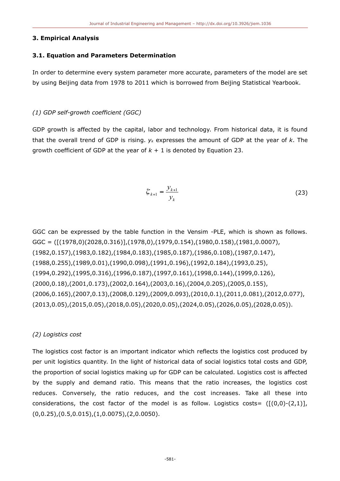#### **3. Empirical Analysis**

## **3.1. Equation and Parameters Determination**

In order to determine every system parameter more accurate, parameters of the model are set by using Beijing data from 1978 to 2011 which is borrowed from Beijing Statistical Yearbook.

## *(1) GDP self-growth coefficient (GGC)*

GDP growth is affected by the capital, labor and technology. From historical data, it is found that the overall trend of GDP is rising. *yk* expresses the amount of GDP at the year of *k*. The growth coefficient of GDP at the year of *k* + 1 is denoted by Equation 23.

$$
\xi_{k+1} = \frac{y_{k+1}}{y_k}
$$
 (23)

GGC can be expressed by the table function in the Vensim -PLE, which is shown as follows. GGC = ([(1978,0)(2028,0.316)],(1978,0),(1979,0.154),(1980,0.158),(1981,0.0007), (1982,0.157),(1983,0.182),(1984,0.183),(1985,0.187),(1986,0.108),(1987,0.147), (1988,0.255),(1989,0.01),(1990,0.098),(1991,0.196),(1992,0.184),(1993,0.25), (1994,0.292),(1995,0.316),(1996,0.187),(1997,0.161),(1998,0.144),(1999,0.126), (2000,0.18),(2001,0.173),(2002,0.164),(2003,0.16),(2004,0.205),(2005,0.155), (2006,0.165),(2007,0.13),(2008,0.129),(2009,0.093),(2010,0.1),(2011,0.081),(2012,0.077), (2013,0.05),(2015,0.05),(2018,0.05),(2020,0.05),(2024,0.05),(2026,0.05),(2028,0.05)).

## *(2) Logistics cost*

The logistics cost factor is an important indicator which reflects the logistics cost produced by per unit logistics quantity. In the light of historical data of social logistics total costs and GDP, the proportion of social logistics making up for GDP can be calculated. Logistics cost is affected by the supply and demand ratio. This means that the ratio increases, the logistics cost reduces. Conversely, the ratio reduces, and the cost increases. Take all these into considerations, the cost factor of the model is as follow. Logistics costs=  $([0,0)-(2,1)]$ , (0,0.25),(0.5,0.015),(1,0.0075),(2,0.0050).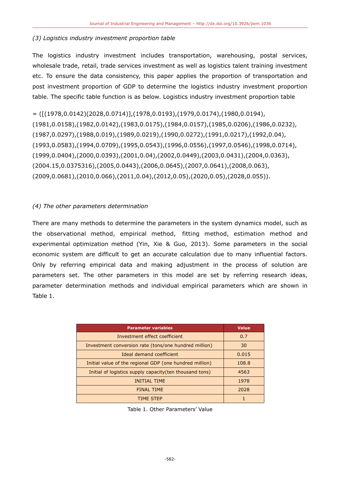# *(3) Logistics industry investment proportion table*

The logistics industry investment includes transportation, warehousing, postal services, wholesale trade, retail, trade services investment as well as logistics talent training investment etc. To ensure the data consistency, this paper applies the proportion of transportation and post investment proportion of GDP to determine the logistics industry investment proportion table. The specific table function is as below. Logistics industry investment proportion table

 $=$  ([(1978,0.0142)(2028,0.0714)],(1978,0.0193),(1979,0.0174),(1980,0.0194), (1981,0.0158),(1982,0.0142),(1983,0.0175),(1984,0.0157),(1985,0.0206),(1986,0.0232), (1987,0.0297),(1988,0.019),(1989,0.0219),(1990,0.0272),(1991,0.0217),(1992,0.04), (1993,0.0583),(1994,0.0709),(1995,0.0543),(1996,0.0556),(1997,0.0546),(1998,0.0714), (1999,0.0404),(2000,0.0393),(2001,0.04),(2002,0.0449),(2003,0.0431),(2004,0.0363), (2004.15,0.0375316),(2005,0.0443),(2006,0.0645),(2007,0.0641),(2008,0.063), (2009,0.0681),(2010,0.066),(2011,0.04),(2012,0.05),(2020,0.05),(2028,0.055)).

# *(4) The other parameters determination*

There are many methods to determine the parameters in the system dynamics model, such as the observational method, empirical method, fitting method, estimation method and experimental optimization method (Yin, Xie & Guo, 2013). Some parameters in the social economic system are difficult to get an accurate calculation due to many influential factors. Only by referring empirical data and making adjustment in the process of solution are parameters set. The other parameters in this model are set by referring research ideas, parameter determination methods and individual empirical parameters which are shown in Table 1.

| <b>Parameter variables</b>                               | <b>Value</b> |
|----------------------------------------------------------|--------------|
| Investment effect coefficient                            | 0.7          |
| Investment conversion rate (tons/one hundred million)    | 30           |
| Ideal demand coefficient                                 | 0.015        |
| Initial value of the regional GDP (one hundred million)  | 108.8        |
| Initial of logistics supply capacity (ten thousand tons) | 4563         |
| <b>INITIAL TIME</b>                                      | 1978         |
| <b>FINAL TIME</b>                                        | 2028         |
| <b>TIME STEP</b>                                         |              |

Table 1. Other Parameters' Value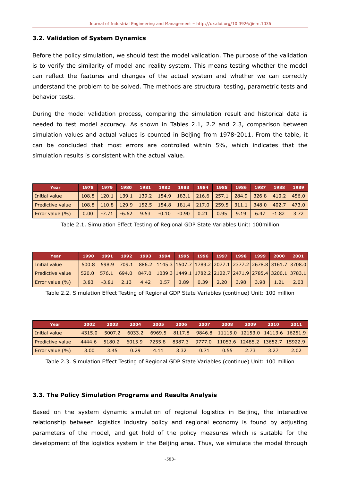#### **3.2. Validation of System Dynamics**

Before the policy simulation, we should test the model validation. The purpose of the validation is to verify the similarity of model and reality system. This means testing whether the model can reflect the features and changes of the actual system and whether we can correctly understand the problem to be solved. The methods are structural testing, parametric tests and behavior tests.

During the model validation process, comparing the simulation result and historical data is needed to test model accuracy. As shown in Tables 2.1, 2.2 and 2.3, comparison between simulation values and actual values is counted in Beijing from 1978-2011. From the table, it can be concluded that most errors are controlled within 5%, which indicates that the simulation results is consistent with the actual value.

| Year               | 1978  | 1979                                                                                    | 1980                                                                            | 1981 | 1982    | 1983    | 1984 | 1985 | 1986 | 1987 | 1988    | 1989  |
|--------------------|-------|-----------------------------------------------------------------------------------------|---------------------------------------------------------------------------------|------|---------|---------|------|------|------|------|---------|-------|
| Initial value      | 108.8 |                                                                                         | $120.1$   139.1   139.2   154.9   183.1   216.6   257.1   284.9   326.8   410.2 |      |         |         |      |      |      |      |         | 456.0 |
| Predictive value   |       | $108.8$   110.8   129.9   152.5   154.8   181.4   217.0   259.5   311.1   348.0   402.7 |                                                                                 |      |         |         |      |      |      |      |         | 473.0 |
| Error value $(\%)$ | 0.00  | $-7.71$                                                                                 | $-6.62$                                                                         | 9.53 | $-0.10$ | $-0.90$ | 0.21 | 0.95 | 9.19 | 6.47 | $-1.82$ | 3.72  |

Table 2.1. Simulation Effect Testing of Regional GDP State Variables Unit: 100million

| Year                    | 1990  | 1991    |      |      | 1992 1993 1994 1995 1996 1997                                                                                                                          |      |      |      |      | 1998   1999 | 2000 | 2001 |
|-------------------------|-------|---------|------|------|--------------------------------------------------------------------------------------------------------------------------------------------------------|------|------|------|------|-------------|------|------|
| Initial value           |       |         |      |      | 500.8 598.9 709.1 886.2 1145.3 1507.7 1789.2 2077.1 2377.2 2678.8 3161.7 3708.0                                                                        |      |      |      |      |             |      |      |
| <b>Predictive value</b> | 520.0 |         |      |      | $\mid$ 576.1 $\mid$ 694.0 $\mid$ 847.0 $\mid$ 1039.3 $\mid$ 1449.1 $\mid$ 1782.2 $\mid$ 2122.7 $\mid$ 2471.9 $\mid$ 2785.4 $\mid$ 3200.1 $\mid$ 3783.1 |      |      |      |      |             |      |      |
| Error value (%)         | 3.83  | $-3.81$ | 2.13 | 4.42 | $0.57$                                                                                                                                                 | 3.89 | 0.39 | 2.20 | 3.98 | 3.98        | 1.21 | 2.03 |

Table 2.2. Simulation Effect Testing of Regional GDP State Variables (continue) Unit: 100 million

| Year               | 2002   | 2003   | 2004   | 2005              | 2006              | 2007 | 2008                                           | 2009 | 2010 | 2011 |
|--------------------|--------|--------|--------|-------------------|-------------------|------|------------------------------------------------|------|------|------|
| Initial value      | 4315.0 | 5007.2 | 6033.2 |                   | $6969.5$   8117.8 |      | 9846.8   11115.0   12153.0   14113.6   16251.9 |      |      |      |
| Predictive value   | 4444.6 | 5180.2 |        | $6015.9$   7255.8 | 8387.3 9777.0     |      | 11053.6 12485.2 13652.7 15922.9                |      |      |      |
| Error value $(% )$ | 3.00   | 3.45   | 0.29   | 4.11              | 3.32              | 0.71 | 0.55                                           | 2.73 | 3.27 | 2.02 |

Table 2.3. Simulation Effect Testing of Regional GDP State Variables (continue) Unit: 100 million

#### **3.3. The Policy Simulation Programs and Results Analysis**

Based on the system dynamic simulation of regional logistics in Beijing, the interactive relationship between logistics industry policy and regional economy is found by adjusting parameters of the model, and get hold of the policy measures which is suitable for the development of the logistics system in the Beijing area. Thus, we simulate the model through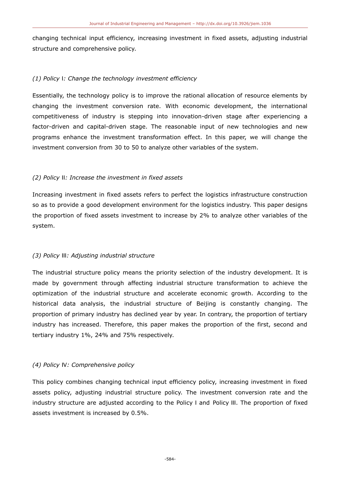changing technical input efficiency, increasing investment in fixed assets, adjusting industrial structure and comprehensive policy.

# *(1) Policy* Ⅰ*: Change the technology investment efficiency*

Essentially, the technology policy is to improve the rational allocation of resource elements by changing the investment conversion rate. With economic development, the international competitiveness of industry is stepping into innovation-driven stage after experiencing a factor-driven and capital-driven stage. The reasonable input of new technologies and new programs enhance the investment transformation effect. In this paper, we will change the investment conversion from 30 to 50 to analyze other variables of the system.

# *(2) Policy* Ⅱ*: Increase the investment in fixed assets*

Increasing investment in fixed assets refers to perfect the logistics infrastructure construction so as to provide a good development environment for the logistics industry. This paper designs the proportion of fixed assets investment to increase by 2% to analyze other variables of the system.

# *(3) Policy* Ⅲ*: Adjusting industrial structure*

The industrial structure policy means the priority selection of the industry development. It is made by government through affecting industrial structure transformation to achieve the optimization of the industrial structure and accelerate economic growth. According to the historical data analysis, the industrial structure of Beijing is constantly changing. The proportion of primary industry has declined year by year. In contrary, the proportion of tertiary industry has increased. Therefore, this paper makes the proportion of the first, second and tertiary industry 1%, 24% and 75% respectively.

# *(4) Policy* Ⅳ*: Comprehensive policy*

This policy combines changing technical input efficiency policy, increasing investment in fixed assets policy, adjusting industrial structure policy. The investment conversion rate and the industry structure are adjusted according to the Policy I and Policy III. The proportion of fixed assets investment is increased by 0.5%.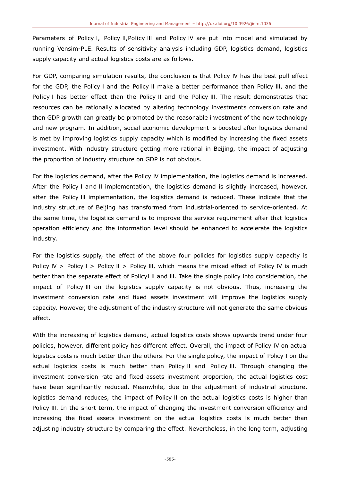Parameters of Policy Ⅰ, Policy Ⅱ,Policy Ⅲ and Policy Ⅳ are put into model and simulated by running Vensim-PLE. Results of sensitivity analysis including GDP, logistics demand, logistics supply capacity and actual logistics costs are as follows.

For GDP, comparing simulation results, the conclusion is that Policy Ⅳ has the best pull effect for the GDP, the Policy Ⅰ and the Policy Ⅱ make a better performance than Policy Ⅲ, and the Policy I has better effect than the Policy II and the Policy III. The result demonstrates that resources can be rationally allocated by altering technology investments conversion rate and then GDP growth can greatly be promoted by the reasonable investment of the new technology and new program. In addition, social economic development is boosted after logistics demand is met by improving logistics supply capacity which is modified by increasing the fixed assets investment. With industry structure getting more rational in Beijing, the impact of adjusting the proportion of industry structure on GDP is not obvious.

For the logistics demand, after the Policy Ⅳ implementation, the logistics demand is increased. After the Policy I and II implementation, the logistics demand is slightly increased, however, after the Policy Ⅲ implementation, the logistics demand is reduced. These indicate that the industry structure of Beijing has transformed from industrial-oriented to service-oriented. At the same time, the logistics demand is to improve the service requirement after that logistics operation efficiency and the information level should be enhanced to accelerate the logistics industry.

For the logistics supply, the effect of the above four policies for logistics supply capacity is Policy Ⅳ > Policy Ⅰ > Policy Ⅱ > Policy Ⅲ, which means the mixed effect of Policy Ⅳ is much better than the separate effect of Policy<sub>III</sub> and III. Take the single policy into consideration, the impact of Policy Ⅲ on the logistics supply capacity is not obvious. Thus, increasing the investment conversion rate and fixed assets investment will improve the logistics supply capacity. However, the adjustment of the industry structure will not generate the same obvious effect.

With the increasing of logistics demand, actual logistics costs shows upwards trend under four policies, however, different policy has different effect. Overall, the impact of Policy Ⅳ on actual logistics costs is much better than the others. For the single policy, the impact of Policy Ⅰ on the actual logistics costs is much better than Policy Ⅱ and Policy Ⅲ. Through changing the investment conversion rate and fixed assets investment proportion, the actual logistics cost have been significantly reduced. Meanwhile, due to the adjustment of industrial structure, logistics demand reduces, the impact of Policy Ⅱ on the actual logistics costs is higher than Policy III. In the short term, the impact of changing the investment conversion efficiency and increasing the fixed assets investment on the actual logistics costs is much better than adjusting industry structure by comparing the effect. Nevertheless, in the long term, adjusting

-585-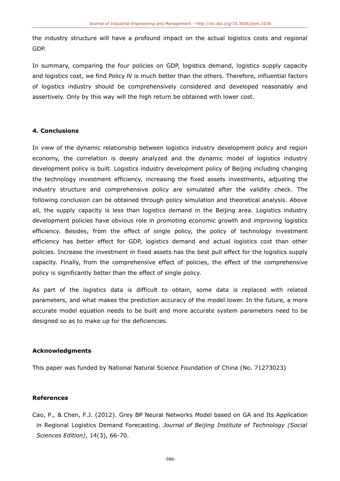the industry structure will have a profound impact on the actual logistics costs and regional GDP.

In summary, comparing the four policies on GDP, logistics demand, logistics supply capacity and logistics cost, we find Policy Ⅳ is much better than the others. Therefore, influential factors of logistics industry should be comprehensively considered and developed reasonably and assertively. Only by this way will the high return be obtained with lower cost.

## **4. Conclusions**

In view of the dynamic relationship between logistics industry development policy and region economy, the correlation is deeply analyzed and the dynamic model of logistics industry development policy is built. Logistics industry development policy of Beijing including changing the technology investment efficiency, increasing the fixed assets investments, adjusting the industry structure and comprehensive policy are simulated after the validity check. The following conclusion can be obtained through policy simulation and theoretical analysis. Above all, the supply capacity is less than logistics demand in the Beijing area. Logistics industry development policies have obvious role in promoting economic growth and improving logistics efficiency. Besides, from the effect of single policy, the policy of technology investment efficiency has better effect for GDP, logistics demand and actual logistics cost than other policies. Increase the investment in fixed assets has the best pull effect for the logistics supply capacity. Finally, from the comprehensive effect of policies, the effect of the comprehensive policy is significantly better than the effect of single policy.

As part of the logistics data is difficult to obtain, some data is replaced with related parameters, and what makes the prediction accuracy of the model lower. In the future, a more accurate model equation needs to be built and more accurate system parameters need to be designed so as to make up for the deficiencies.

## **Acknowledgments**

This paper was funded by National Natural Science Foundation of China (No. 71273023)

## **References**

Cao, P., & Chen, F.J. (2012). Grey BP Neural Networks Model based on GA and Its Application in Regional Logistics Demand Forecasting. *Journal of Beijing Institute of Technology (Social Sciences Edition)*, 14(3), 66-70.